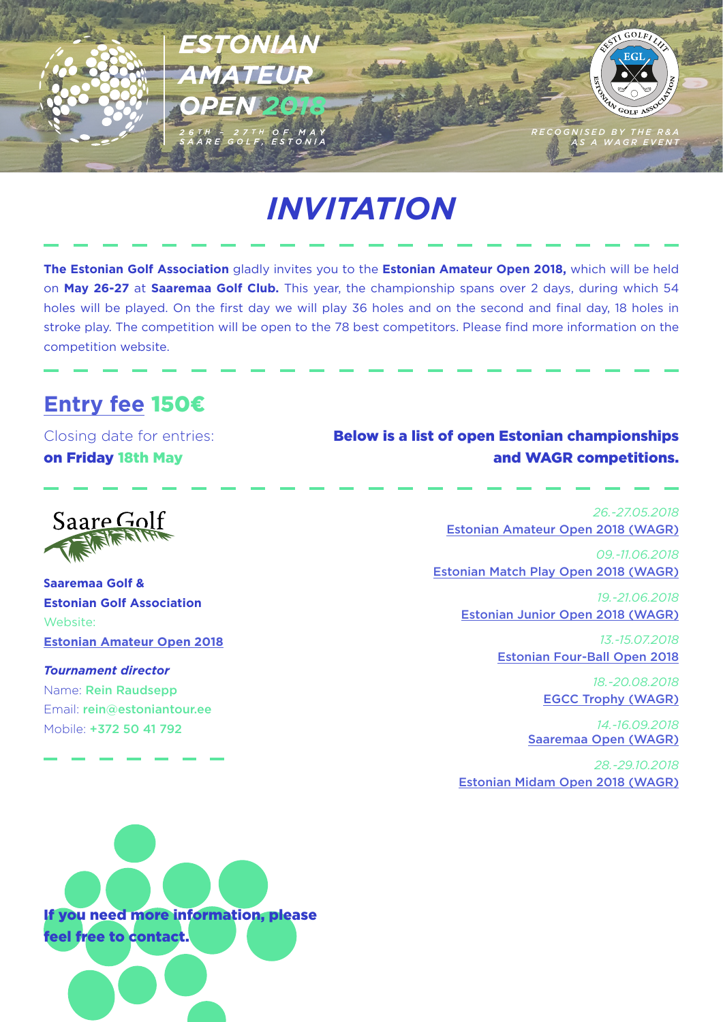

# *INVITATION*

**The Estonian Golf Association** gladly invites you to the **Estonian Amateur Open 2018,** which will be held on **May 26-27** at **Saaremaa Golf Club.** This year, the championship spans over 2 days, during which 54 holes will be played. On the first day we will play 36 holes and on the second and final day, 18 holes in stroke play. The competition will be open to the 78 best competitors. Please find more information on the competition website.

### **[Entry fee](https://www.golf.ee/voistlused/estonian-amateur-open-2018/#registreerimine-entry)** 150€

Closing date for entries: on Friday 18th May

#### Below is a list of open Estonian championships and WAGR competitions.

Saare Golf

**Saaremaa Golf & Estonian Golf Association** Website: **[Estonian Amateur Open 2018](https://www.golf.ee/voistlused/estonian-amateur-open-2018/)**

*Tournament director* Name: Rein Raudsepp Email: rein@estoniantour.ee Mobile: +372 50 41 792

*26.-27.05.2018* [Estonian Amateur Open 2018 \(WAGR\)](http://www.golf.ee/voistlused/estonian-amateur-open-2018/)

*09.-11.06.2018* [Estonian Match Play Open 2018 \(WAGR\)](http://www.golf.ee/voistlused/estonian-matchplay-open-2018/)

> *19.-21.06.2018* [Estonian Junior Open 2018 \(WAGR\)](http://www.golf.ee/voistlused/estonian-junior-open-2018/)

> > *13.-15.07.2018* [Estonian Four-Ball Open 2018](http://www.golf.ee/voistlused/estonian-fourball-open-2018/)

> > > *18.-20.08.2018* [EGCC Trophy \(WAGR\)](http://www.estoniantour.ee/tour-calendar#/competition/1417858/info)

*14.-16.09.2018* [Saaremaa Open \(WAGR\)](http://www.estoniantour.ee/tour-calendar#/competition/1417844/info)

*28.-29.10.2018* [Estonian Midam Open 2018 \(WAGR\)](http://www.golf.ee/voistlused/estonian-midam-open-2018/)

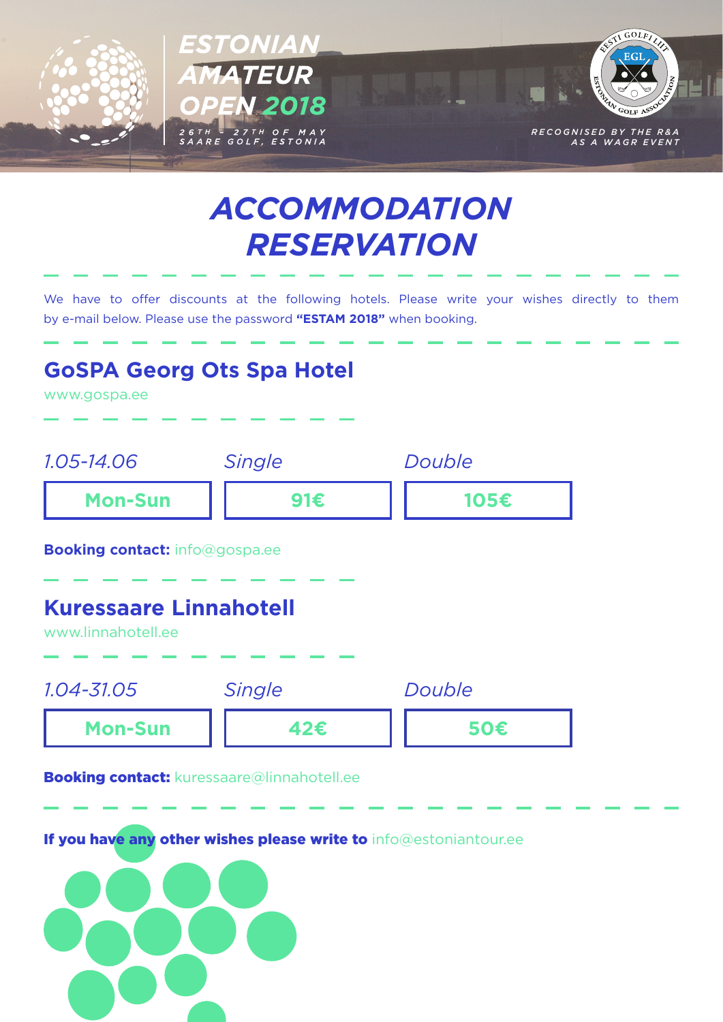